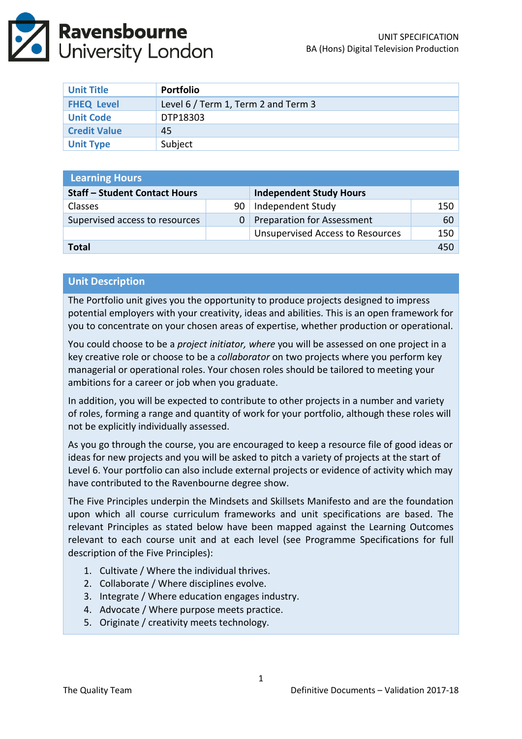

| <b>Unit Title</b>   | Portfolio                           |
|---------------------|-------------------------------------|
| <b>FHEQ Level</b>   | Level 6 / Term 1, Term 2 and Term 3 |
| <b>Unit Code</b>    | DTP18303                            |
| <b>Credit Value</b> | 45                                  |
| <b>Unit Type</b>    | Subject                             |

| <b>Learning Hours</b>                |                |                                         |     |  |  |
|--------------------------------------|----------------|-----------------------------------------|-----|--|--|
| <b>Staff - Student Contact Hours</b> |                | <b>Independent Study Hours</b>          |     |  |  |
| <b>Classes</b>                       | 90             | Independent Study                       | 150 |  |  |
| Supervised access to resources       | 0 <sup>1</sup> | <b>Preparation for Assessment</b>       | 60  |  |  |
|                                      |                | <b>Unsupervised Access to Resources</b> | 150 |  |  |
| <b>Total</b>                         |                |                                         |     |  |  |

#### **Unit Description**

The Portfolio unit gives you the opportunity to produce projects designed to impress potential employers with your creativity, ideas and abilities. This is an open framework for you to concentrate on your chosen areas of expertise, whether production or operational.

You could choose to be a *project initiator, where* you will be assessed on one project in a key creative role or choose to be a *collaborator* on two projects where you perform key managerial or operational roles. Your chosen roles should be tailored to meeting your ambitions for a career or job when you graduate.

In addition, you will be expected to contribute to other projects in a number and variety of roles, forming a range and quantity of work for your portfolio, although these roles will not be explicitly individually assessed.

As you go through the course, you are encouraged to keep a resource file of good ideas or ideas for new projects and you will be asked to pitch a variety of projects at the start of Level 6. Your portfolio can also include external projects or evidence of activity which may have contributed to the Ravenbourne degree show.

The Five Principles underpin the Mindsets and Skillsets Manifesto and are the foundation upon which all course curriculum frameworks and unit specifications are based. The relevant Principles as stated below have been mapped against the Learning Outcomes relevant to each course unit and at each level (see Programme Specifications for full description of the Five Principles):

- 1. Cultivate / Where the individual thrives.
- 2. Collaborate / Where disciplines evolve.
- 3. Integrate / Where education engages industry.
- 4. Advocate / Where purpose meets practice.
- 5. Originate / creativity meets technology.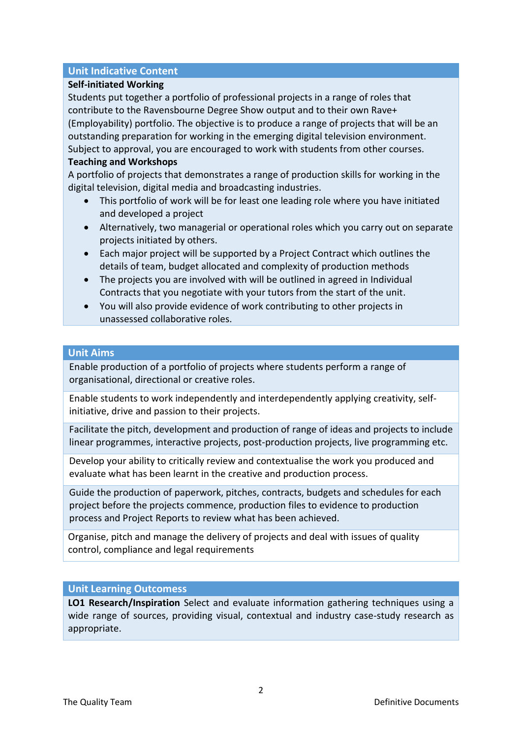# **Unit Indicative Content**

# **Self-initiated Working**

Students put together a portfolio of professional projects in a range of roles that contribute to the Ravensbourne Degree Show output and to their own Rave+ (Employability) portfolio. The objective is to produce a range of projects that will be an outstanding preparation for working in the emerging digital television environment. Subject to approval, you are encouraged to work with students from other courses.

# **Teaching and Workshops**

A portfolio of projects that demonstrates a range of production skills for working in the digital television, digital media and broadcasting industries.

- This portfolio of work will be for least one leading role where you have initiated and developed a project
- Alternatively, two managerial or operational roles which you carry out on separate projects initiated by others.
- Each major project will be supported by a Project Contract which outlines the details of team, budget allocated and complexity of production methods
- The projects you are involved with will be outlined in agreed in Individual Contracts that you negotiate with your tutors from the start of the unit.
- You will also provide evidence of work contributing to other projects in unassessed collaborative roles.

## **Unit Aims**

Enable production of a portfolio of projects where students perform a range of organisational, directional or creative roles.

Enable students to work independently and interdependently applying creativity, selfinitiative, drive and passion to their projects.

Facilitate the pitch, development and production of range of ideas and projects to include linear programmes, interactive projects, post-production projects, live programming etc.

Develop your ability to critically review and contextualise the work you produced and evaluate what has been learnt in the creative and production process.

Guide the production of paperwork, pitches, contracts, budgets and schedules for each project before the projects commence, production files to evidence to production process and Project Reports to review what has been achieved.

Organise, pitch and manage the delivery of projects and deal with issues of quality control, compliance and legal requirements

# **Unit Learning Outcomess**

**LO1 Research/Inspiration** Select and evaluate information gathering techniques using a wide range of sources, providing visual, contextual and industry case-study research as appropriate.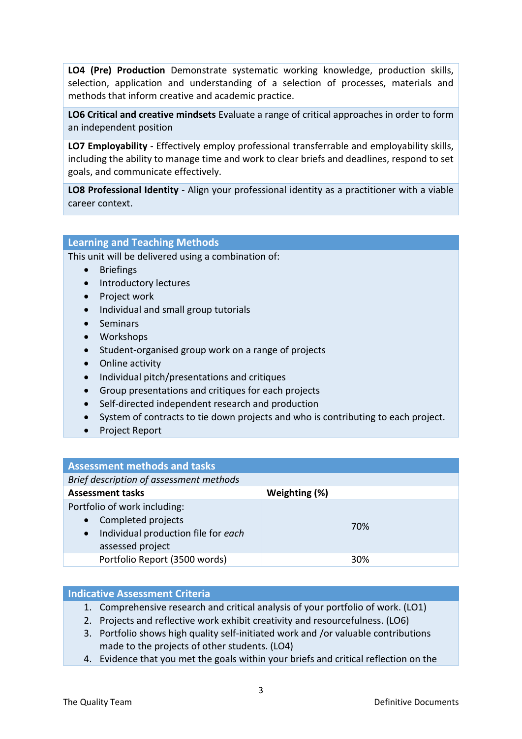**LO4 (Pre) Production** Demonstrate systematic working knowledge, production skills, selection, application and understanding of a selection of processes, materials and methods that inform creative and academic practice.

**LO6 Critical and creative mindsets** Evaluate a range of critical approaches in order to form an independent position

**LO7 Employability** - Effectively employ professional transferrable and employability skills, including the ability to manage time and work to clear briefs and deadlines, respond to set goals, and communicate effectively.

**LO8 Professional Identity** - Align your professional identity as a practitioner with a viable career context.

#### **Learning and Teaching Methods**

This unit will be delivered using a combination of:

- Briefings
- Introductory lectures
- Project work
- Individual and small group tutorials
- Seminars
- Workshops
- Student-organised group work on a range of projects
- Online activity
- Individual pitch/presentations and critiques
- Group presentations and critiques for each projects
- Self-directed independent research and production
- System of contracts to tie down projects and who is contributing to each project.
- Project Report

| <b>Assessment methods and tasks</b>                                                                                                     |               |  |  |
|-----------------------------------------------------------------------------------------------------------------------------------------|---------------|--|--|
| Brief description of assessment methods                                                                                                 |               |  |  |
| <b>Assessment tasks</b>                                                                                                                 | Weighting (%) |  |  |
| Portfolio of work including:<br>Completed projects<br>$\bullet$<br>Individual production file for each<br>$\bullet$<br>assessed project | 70%           |  |  |
| Portfolio Report (3500 words)                                                                                                           | 30%           |  |  |

#### **Indicative Assessment Criteria**

- 1. Comprehensive research and critical analysis of your portfolio of work. (LO1)
- 2. Projects and reflective work exhibit creativity and resourcefulness. (LO6)
- 3. Portfolio shows high quality self-initiated work and /or valuable contributions made to the projects of other students. (LO4)
- 4. Evidence that you met the goals within your briefs and critical reflection on the